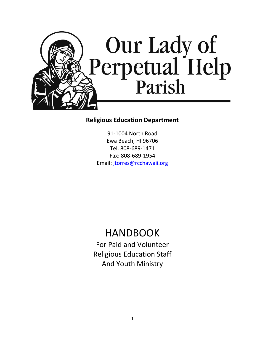

## **Religious Education Department**

91-1004 North Road Ewa Beach, HI 96706 Tel. 808-689-1471 Fax: 808-689-1954 Email: [jtorres@rcchawaii.org](mailto:jtorres@rcchawaii.org)

# HANDBOOK

For Paid and Volunteer Religious Education Staff And Youth Ministry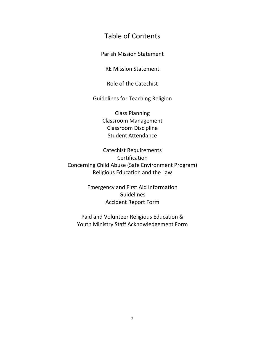## Table of Contents

Parish Mission Statement

RE Mission Statement

Role of the Catechist

Guidelines for Teaching Religion

Class Planning Classroom Management Classroom Discipline Student Attendance

Catechist Requirements **Certification** Concerning Child Abuse (Safe Environment Program) Religious Education and the Law

> Emergency and First Aid Information **Guidelines** Accident Report Form

Paid and Volunteer Religious Education & Youth Ministry Staff Acknowledgement Form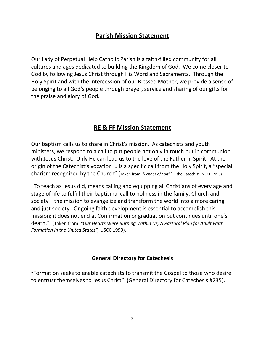## **Parish Mission Statement**

Our Lady of Perpetual Help Catholic Parish is a faith-filled community for all cultures and ages dedicated to building the Kingdom of God. We come closer to God by following Jesus Christ through His Word and Sacraments. Through the Holy Spirit and with the intercession of our Blessed Mother, we provide a sense of belonging to all God's people through prayer, service and sharing of our gifts for the praise and glory of God.

## **RE & FF Mission Statement**

Our baptism calls us to share in Christ's mission. As catechists and youth ministers, we respond to a call to put people not only in touch but in communion with Jesus Christ. Only He can lead us to the love of the Father in Spirit. At the origin of the Catechist's vocation … is a specific call from the Holy Spirit, a "special charism recognized by the Church" (Taken from *"Echoes of Faith"* – the Catechist, NCCL 1996)

"To teach as Jesus did, means calling and equipping all Christians of every age and stage of life to fulfill their baptismal call to holiness in the family, Church and society – the mission to evangelize and transform the world into a more caring and just society. Ongoing faith development is essential to accomplish this mission; it does not end at Confirmation or graduation but continues until one's death." (Taken from *"Our Hearts Were Burning Within Us, A Pastoral Plan for Adult Faith Formation in the United States",* USCC 1999).

## **General Directory for Catechesis**

"Formation seeks to enable catechists to transmit the Gospel to those who desire to entrust themselves to Jesus Christ" (General Directory for Catechesis #235).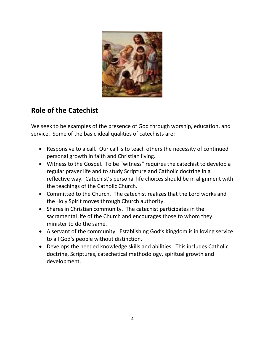

# **Role of the Catechist**

We seek to be examples of the presence of God through worship, education, and service. Some of the basic ideal qualities of catechists are:

- Responsive to a call. Our call is to teach others the necessity of continued personal growth in faith and Christian living.
- Witness to the Gospel. To be "witness" requires the catechist to develop a regular prayer life and to study Scripture and Catholic doctrine in a reflective way. Catechist's personal life choices should be in alignment with the teachings of the Catholic Church.
- Committed to the Church. The catechist realizes that the Lord works and the Holy Spirit moves through Church authority.
- Shares in Christian community. The catechist participates in the sacramental life of the Church and encourages those to whom they minister to do the same.
- A servant of the community. Establishing God's Kingdom is in loving service to all God's people without distinction.
- Develops the needed knowledge skills and abilities. This includes Catholic doctrine, Scriptures, catechetical methodology, spiritual growth and development.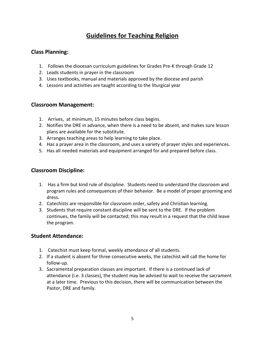# **Guidelines for Teaching Religion**

### **Class Planning:**

- 1. Follows the diocesan curriculum guidelines for Grades Pre-K through Grade 12
- 2. Leads students in prayer in the classroom
- 3. Uses textbooks, manual and materials approved by the diocese and parish
- 4. Lessons and activities are taught according to the liturgical year

#### **Classroom Management:**

- 1. Arrives, at minimum, 15 minutes before class begins.
- 2. Notifies the DRE in advance, when there is a need to be absent, and makes sure lesson plans are available for the substitute.
- 3. Arranges teaching areas to help learning to take place.
- 4. Has a prayer area in the classroom, and uses a variety of prayer styles and experiences.
- 5. Has all needed materials and equipment arranged for and prepared before class.

#### **Classroom Discipline:**

- 1. Has a firm but kind rule of discipline. Students need to understand the classroom and program rules and consequences of their behavior. Be a model of proper grooming and dress.
- 2. Catechists are responsible for classroom order, safety and Christian learning.
- 3. Students that require constant discipline will be sent to the DRE. If the problem continues, the family will be contacted; this may result in a request that the child leave the program.

#### **Student Attendance:**

- 1. Catechist must keep formal, weekly attendance of all students.
- 2. If a student is absent for three consecutive weeks, the catechist will call the home for follow-up.
- 3. Sacramental preparation classes are important. If there is a continued lack of attendance (i.e. 3 classes), the student may be advised to wait to receive the sacrament at a later time. Previous to this decision, there will be communication between the Pastor, DRE and family.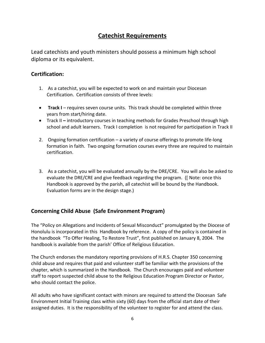## **Catechist Requirements**

Lead catechists and youth ministers should possess a minimum high school diploma or its equivalent.

#### **Certification:**

- 1. As a catechist, you will be expected to work on and maintain your Diocesan Certification. Certification consists of three levels:
- **Track I** requires seven course units. This track should be completed within three years from start/hiring date.
- Track II **–** introductory courses in teaching methods for Grades Preschool through high school and adult learners. Track I completion is not required for participation in Track II
- 2. Ongoing formation certification a variety of course offerings to promote life-long formation in faith. Two ongoing formation courses every three are required to maintain certification.
- 3. As a catechist, you will be evaluated annually by the DRE/CRE. You will also be asked to evaluate the DRE/CRE and give feedback regarding the program. ([ Note: once this Handbook is approved by the parish, all catechist will be bound by the Handbook. Evaluation forms are in the design stage.)

#### **Concerning Child Abuse (Safe Environment Program)**

The "Policy on Allegations and Incidents of Sexual Misconduct" promulgated by the Diocese of Honolulu is incorporated in this Handbook by reference. A copy of the policy is contained in the handbook "To Offer Healing, To Restore Trust", first published on January 8, 2004. The handbook is available from the parish' Office of Religious Education.

The Church endorses the mandatory reporting provisions of H.R.S. Chapter 350 concerning child abuse and requires that paid and volunteer staff be familiar with the provisions of the chapter, which is summarized in the Handbook. The Church encourages paid and volunteer staff to report suspected child abuse to the Religious Education Program Director or Pastor, who should contact the police.

All adults who have significant contact with minors are required to attend the Diocesan Safe Environment Initial Training class within sixty (60) days from the official start date of their assigned duties. It is the responsibility of the volunteer to register for and attend the class.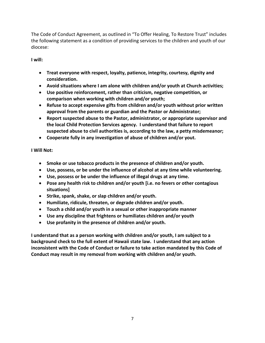The Code of Conduct Agreement, as outlined in "To Offer Healing, To Restore Trust" includes the following statement as a condition of providing services to the children and youth of our diocese:

**I will:**

- **Treat everyone with respect, loyalty, patience, integrity, courtesy, dignity and consideration.**
- **Avoid situations where I am alone with children and/or youth at Church activities;**
- **Use positive reinforcement, rather than criticism, negative competition, or comparison when working with children and/or youth;**
- **Refuse to accept expensive gifts from children and/or youth without prior written approval from the parents or guardian and the Pastor or Administrator;**
- **Report suspected abuse to the Pastor, administrator, or appropriate supervisor and the local Child Protection Services agency. I understand that failure to report suspected abuse to civil authorities is, according to the law, a petty misdemeanor;**
- **Cooperate fully in any investigation of abuse of children and/or yout.**

#### **I Will Not:**

- **Smoke or use tobacco products in the presence of children and/or youth.**
- **Use, possess, or be under the influence of alcohol at any time while volunteering.**
- **Use, possess or be under the influence of illegal drugs at any time.**
- **Pose any health risk to children and/or youth [i.e. no fevers or other contagious situations]**
- **Strike, spank, shake, or slap children and/or youth.**
- **Humiliate, ridicule, threaten, or degrade children and/or youth.**
- **Touch a child and/or youth in a sexual or other inappropriate manner**
- **Use any discipline that frightens or humiliates children and/or youth**
- **Use profanity in the presence of children and/or youth.**

**I understand that as a person working with children and/or youth, I am subject to a background check to the full extent of Hawaii state law. I understand that any action inconsistent with the Code of Conduct or failure to take action mandated by this Code of Conduct may result in my removal from working with children and/or youth.**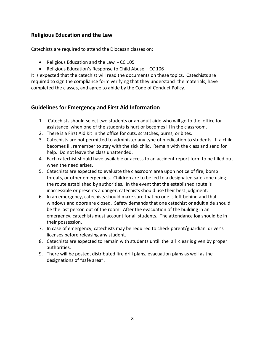#### **Religious Education and the Law**

Catechists are required to attend the Diocesan classes on:

- Religious Education and the Law CC 105
- Religious Education's Response to Child Abuse CC 106

It is expected that the catechist will read the documents on these topics. Catechists are required to sign the compliance form verifying that they understand the materials, have completed the classes, and agree to abide by the Code of Conduct Policy.

#### **Guidelines for Emergency and First Aid Information**

- 1. Catechists should select two students or an adult aide who will go to the office for assistance when one of the students is hurt or becomes ill in the classroom.
- 2. There is a First Aid Kit in the office for cuts, scratches, burns, or bites.
- 3. Catechists are not permitted to administer any type of medication to students. If a child becomes ill, remember to stay with the sick child. Remain with the class and send for help. Do not leave the class unattended.
- 4. Each catechist should have available or access to an accident report form to be filled out when the need arises.
- 5. Catechists are expected to evaluate the classroom area upon notice of fire, bomb threats, or other emergencies. Children are to be led to a designated safe zone using the route established by authorities. In the event that the established route is inaccessible or presents a danger, catechists should use their best judgment.
- 6. In an emergency, catechists should make sure that no one is left behind and that windows and doors are closed. Safety demands that one catechist or adult aide should be the last person out of the room. After the evacuation of the building in an emergency, catechists must account for all students. The attendance log should be in their possession.
- 7. In case of emergency, catechists may be required to check parent/guardian driver's licenses before releasing any student.
- 8. Catechists are expected to remain with students until the all clear is given by proper authorities.
- 9. There will be posted, distributed fire drill plans, evacuation plans as well as the designations of "safe area".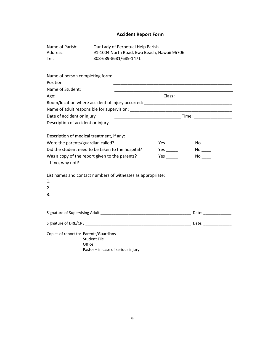#### **Accident Report Form**

| Name of Parish:<br>Address:<br>Tel.                                    | Our Lady of Perpetual Help Parish<br>91-1004 North Road, Ewa Beach, Hawaii 96706<br>808-689-8681/689-1471                                                          |  |                                                                                                                       |  |
|------------------------------------------------------------------------|--------------------------------------------------------------------------------------------------------------------------------------------------------------------|--|-----------------------------------------------------------------------------------------------------------------------|--|
|                                                                        |                                                                                                                                                                    |  |                                                                                                                       |  |
| Position:                                                              |                                                                                                                                                                    |  | <u> 1989 - Johann John Stoff, deutscher Stoffen und der Stoffen und der Stoffen und der Stoffen und der Stoffen u</u> |  |
| Name of Student:                                                       |                                                                                                                                                                    |  | <u> 1989 - Johann John Stoff, deutscher Stoffen und der Stoffen und der Stoffen und der Stoffen und der Stoffen u</u> |  |
| Age:                                                                   |                                                                                                                                                                    |  |                                                                                                                       |  |
|                                                                        | Room/location where accident of injury occurred: ________________________________                                                                                  |  |                                                                                                                       |  |
|                                                                        |                                                                                                                                                                    |  |                                                                                                                       |  |
| Date of accident or injury                                             |                                                                                                                                                                    |  |                                                                                                                       |  |
| Description of accident or injury                                      |                                                                                                                                                                    |  | <u> 1989 - Johann John Stoff, deutscher Stoffen und der Stoffen und der Stoffen und der Stoffen und der Stoffen u</u> |  |
| Were the parents/guardian called?<br>If no, why not?<br>1.<br>2.<br>3. | Did the student need to be taken to the hospital?<br>Was a copy of the report given to the parents?<br>List names and contact numbers of witnesses as appropriate: |  | $No$ <sub>____</sub><br>$No$ <sub>---</sub>                                                                           |  |
|                                                                        |                                                                                                                                                                    |  |                                                                                                                       |  |
| Copies of report to: Parents/Guardians                                 | <b>Student File</b><br>Office<br>Pastor - in case of serious injury                                                                                                |  |                                                                                                                       |  |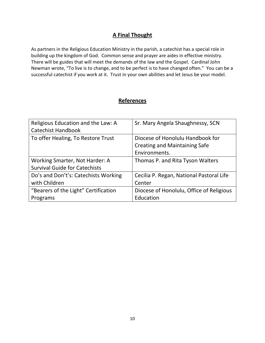## **A Final Thought**

As partners in the Religious Education Ministry in the parish, a catechist has a special role in building up the kingdom of God. Common sense and prayer are aides in effective ministry. There will be guides that will meet the demands of the law and the Gospel. Cardinal John Newman wrote, "To live is to change, and to be perfect is to have changed often." You can be a successful catechist if you work at it. Trust in your own abilities and let Jesus be your model.

#### **References**

| Religious Education and the Law: A   | Sr. Mary Angela Shaughnessy, SCN         |  |
|--------------------------------------|------------------------------------------|--|
| <b>Catechist Handbook</b>            |                                          |  |
| To offer Healing, To Restore Trust   | Diocese of Honolulu Handbook for         |  |
|                                      | <b>Creating and Maintaining Safe</b>     |  |
|                                      | Environments.                            |  |
| Working Smarter, Not Harder: A       | Thomas P. and Rita Tyson Walters         |  |
| <b>Survival Guide for Catechists</b> |                                          |  |
| Do's and Don't's: Catechists Working | Cecilia P. Regan, National Pastoral Life |  |
| with Children                        | Center                                   |  |
| "Bearers of the Light" Certification | Diocese of Honolulu, Office of Religious |  |
| Programs                             | Education                                |  |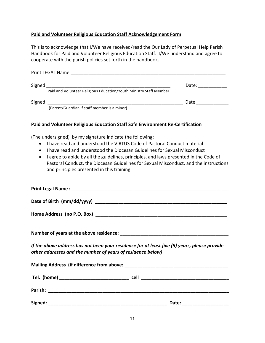#### **Paid and Volunteer Religious Education Staff Acknowledgement Form**

This is to acknowledge that I/We have received/read the Our Lady of Perpetual Help Parish Handbook for Paid and Volunteer Religious Education Staff. I/We understand and agree to cooperate with the parish policies set forth in the handbook.

| Print LEGAL Name |                                                                    |       |  |
|------------------|--------------------------------------------------------------------|-------|--|
| Signed           |                                                                    | Date: |  |
|                  | Paid and Volunteer Religious Education/Youth Ministry Staff Member |       |  |
| Signed:          |                                                                    | Date  |  |
|                  | (Parent/Guardian if staff member is a minor)                       |       |  |

#### **Paid and Volunteer Religious Education Staff Safe Environment Re-Certification**

(The undersigned) by my signature indicate the following:

- I have read and understood the VIRTUS Code of Pastoral Conduct material
- I have read and understood the Diocesan Guidelines for Sexual Misconduct
- I agree to abide by all the guidelines, principles, and laws presented in the Code of Pastoral Conduct, the Diocesan Guidelines for Sexual Misconduct, and the instructions and principles presented in this training.

| If the above address has not been your residence for at least five (5) years, please provide<br>other addresses and the number of years of residence below) |  |
|-------------------------------------------------------------------------------------------------------------------------------------------------------------|--|
|                                                                                                                                                             |  |
|                                                                                                                                                             |  |
|                                                                                                                                                             |  |
|                                                                                                                                                             |  |